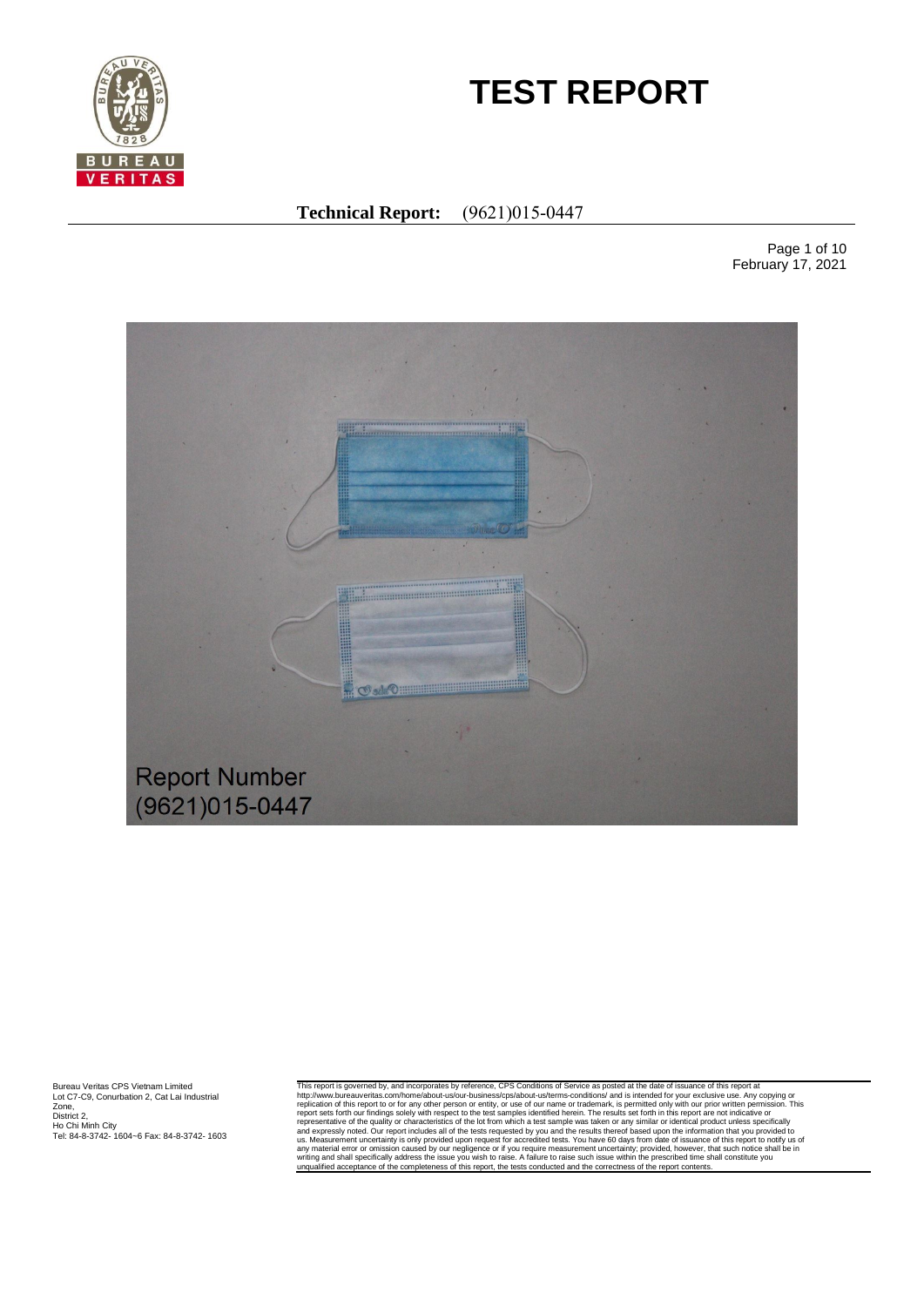

# **TEST REPORT**

# **Technical Report:** (9621)015-0447

Page 1 of 10 February 17, 2021



Bureau Veritas CPS Vietnam Limited Lot C7-C9, Conurbation 2, Cat Lai Industrial Zone, District 2, Ho Chi Minh City Tel: 84-8-3742- 1604~6 Fax: 84-8-3742- 1603 This report is governed by, and incorporates by reference, CPS Conditions of Service as posted at the date of issuance of this report interports of the service as posted at the date of issuance of this report to or for any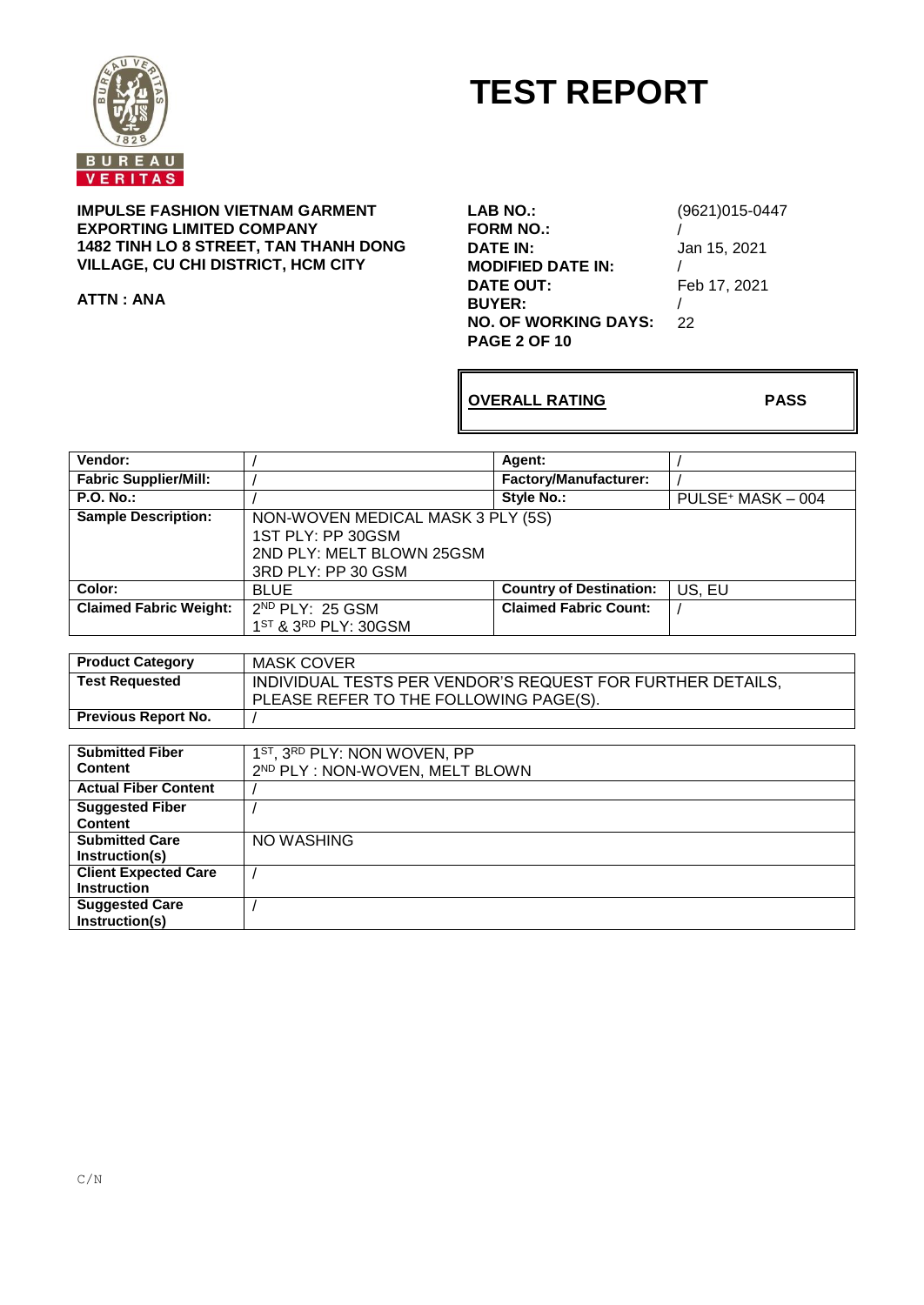

# **TEST REPORT**

**IMPULSE FASHION VIETNAM GARMENT EXPORTING LIMITED COMPANY 1482 TINH LO 8 STREET, TAN THANH DONG VILLAGE, CU CHI DISTRICT, HCM CITY**

**ATTN : ANA**

**LAB NO.:** (9621)015-0447 **FORM NO.:** / **MODIFIED DATE IN:** /<br>DATE OUT: F **BUYER:** /<br>**NO. OF WORKING DAYS:** 22 **NO. OF WORKING DAYS: PAGE 2 OF 10**

**DATE IN:** Jan 15, 2021 Feb 17, 2021

**OVERALL RATING PASS**

| Vendor:                       |                                                            | Agent:                         |                               |  |  |
|-------------------------------|------------------------------------------------------------|--------------------------------|-------------------------------|--|--|
| <b>Fabric Supplier/Mill:</b>  |                                                            | <b>Factory/Manufacturer:</b>   |                               |  |  |
| <b>P.O. No.:</b>              |                                                            | <b>Style No.:</b>              | PULSE <sup>+</sup> MASK - 004 |  |  |
| <b>Sample Description:</b>    | NON-WOVEN MEDICAL MASK 3 PLY (5S)                          |                                |                               |  |  |
|                               | 1ST PLY: PP 30GSM                                          |                                |                               |  |  |
|                               | 2ND PLY: MELT BLOWN 25GSM                                  |                                |                               |  |  |
|                               | 3RD PLY: PP 30 GSM                                         |                                |                               |  |  |
| Color:                        | <b>BLUE</b>                                                | <b>Country of Destination:</b> | US, EU                        |  |  |
| <b>Claimed Fabric Weight:</b> | 2 <sup>ND</sup> PLY: 25 GSM                                | <b>Claimed Fabric Count:</b>   |                               |  |  |
|                               | 1ST & 3RD PLY: 30GSM                                       |                                |                               |  |  |
|                               |                                                            |                                |                               |  |  |
| <b>Product Category</b>       | <b>MASK COVER</b>                                          |                                |                               |  |  |
| <b>Test Requested</b>         | INDIVIDUAL TESTS PER VENDOR'S REQUEST FOR FURTHER DETAILS, |                                |                               |  |  |
|                               | PLEASE REFER TO THE FOLLOWING PAGE(S).                     |                                |                               |  |  |
| <b>Previous Report No.</b>    |                                                            |                                |                               |  |  |
|                               |                                                            |                                |                               |  |  |
| <b>Submitted Fiber</b>        | 1 <sup>ST</sup> , 3 <sup>RD</sup> PLY: NON WOVEN, PP       |                                |                               |  |  |
| $P = 1$                       |                                                            |                                |                               |  |  |

| <b>Content</b>              | 2 <sup>ND</sup> PLY : NON-WOVEN, MELT BLOWN |
|-----------------------------|---------------------------------------------|
| <b>Actual Fiber Content</b> |                                             |
| <b>Suggested Fiber</b>      |                                             |
| <b>Content</b>              |                                             |
| <b>Submitted Care</b>       | NO WASHING                                  |
| Instruction(s)              |                                             |
| <b>Client Expected Care</b> |                                             |
| <b>Instruction</b>          |                                             |
| <b>Suggested Care</b>       |                                             |
| Instruction(s)              |                                             |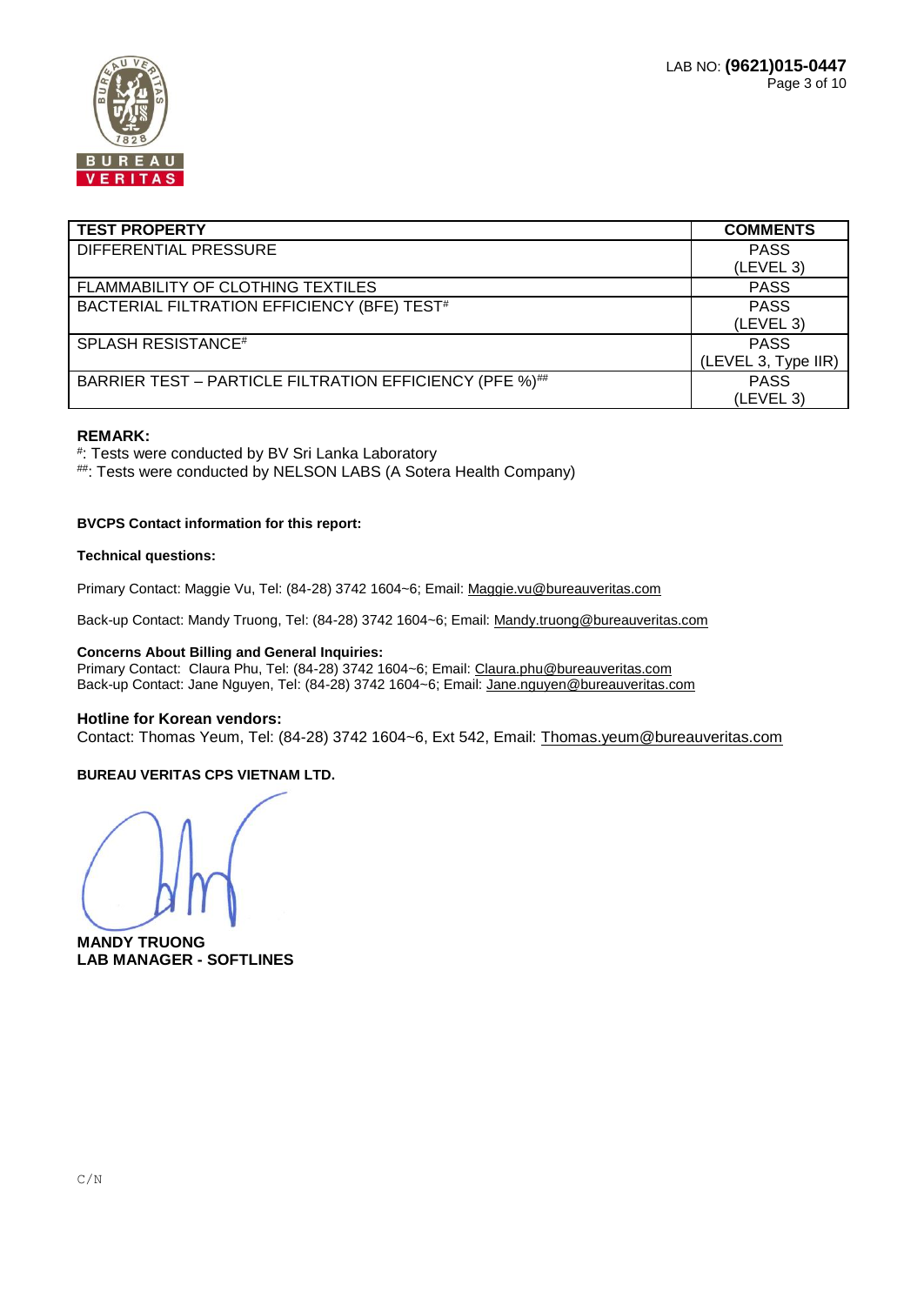

| <b>TEST PROPERTY</b>                                    | <b>COMMENTS</b>     |
|---------------------------------------------------------|---------------------|
| DIFFERENTIAL PRESSURE                                   | <b>PASS</b>         |
|                                                         | (LEVEL 3)           |
| FLAMMABILITY OF CLOTHING TEXTILES                       | <b>PASS</b>         |
| BACTERIAL FILTRATION EFFICIENCY (BFE) TEST#             | <b>PASS</b>         |
|                                                         | (LEVEL 3)           |
| <b>SPLASH RESISTANCE#</b>                               | <b>PASS</b>         |
|                                                         | (LEVEL 3, Type IIR) |
| BARRIER TEST - PARTICLE FILTRATION EFFICIENCY (PFE %)## | <b>PASS</b>         |
|                                                         | (LEVEL 3)           |

#### **REMARK:**

# : Tests were conducted by BV Sri Lanka Laboratory

##: Tests were conducted by NELSON LABS (A Sotera Health Company)

#### **BVCPS Contact information for this report:**

#### **Technical questions:**

Primary Contact: Maggie Vu, Tel: (84-28) 3742 1604~6; Email[: Maggie.vu@bureauveritas.com](mailto:Maggie.vu@bureauveritas.com)

Back-up Contact: Mandy Truong, Tel: (84-28) 3742 1604~6; Email[: Mandy.truong@bureauveritas.com](mailto:Mandy.truong@bureauveritas.com)

#### **Concerns About Billing and General Inquiries:**

Primary Contact: Claura Phu, Tel: (84-28) 3742 1604~6; Email: [Claura.phu@bureauveritas.com](mailto:Claura.phu@bureauveritas.com) Back-up Contact: Jane Nguyen, Tel: (84-28) 3742 1604~6; Email[: Jane.nguyen@bureauveritas.com](mailto:Jane.nguyen@bureauveritas.com)

#### **Hotline for Korean vendors:**

Contact: Thomas Yeum, Tel: (84-28) 3742 1604~6, Ext 542, Email: [Thomas.yeum@bureauveritas.com](mailto:Thomas.yeum@bureauveritas.com)

#### **BUREAU VERITAS CPS VIETNAM LTD.**

**MANDY TRUONG LAB MANAGER - SOFTLINES**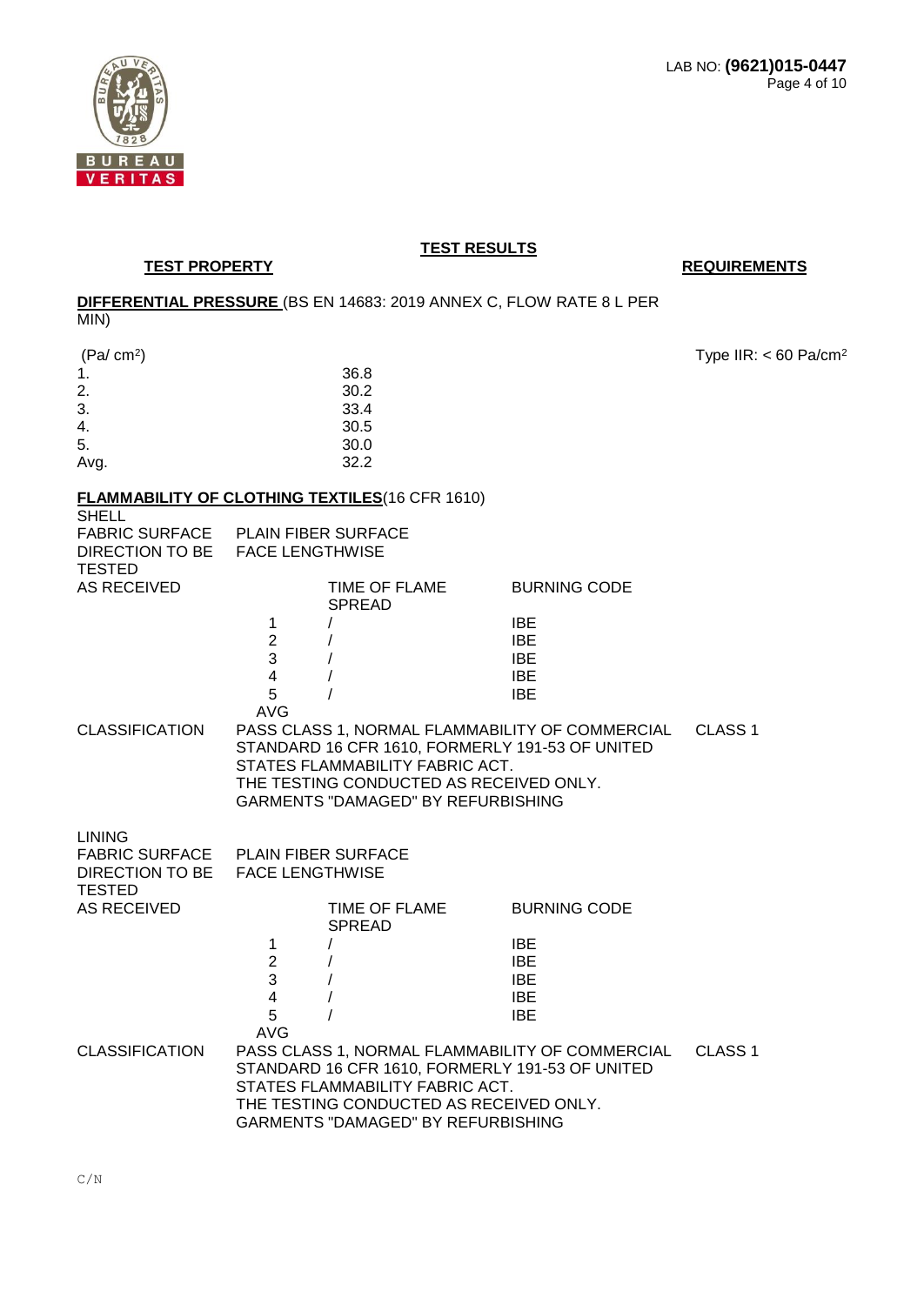

**TEST PROPERTY REQUIREMENTS** 

# **DIFFERENTIAL PRESSURE** (BS EN 14683: 2019 ANNEX C, FLOW RATE 8 L PER

MIN)

| (Pa/cm <sup>2</sup> )              |   |                                                       |                     | Type IIR: $< 60$ Pa/cm <sup>2</sup> |
|------------------------------------|---|-------------------------------------------------------|---------------------|-------------------------------------|
|                                    |   | 36.8                                                  |                     |                                     |
| 2.                                 |   | 30.2                                                  |                     |                                     |
| 3.                                 |   | 33.4                                                  |                     |                                     |
| 4.                                 |   | 30.5                                                  |                     |                                     |
| 5.                                 |   | 30.0                                                  |                     |                                     |
| Avg.                               |   | 32.2                                                  |                     |                                     |
|                                    |   | <b>FLAMMABILITY OF CLOTHING TEXTILES(16 CFR 1610)</b> |                     |                                     |
| <b>SHELL</b>                       |   |                                                       |                     |                                     |
| FABRIC SURFACE PLAIN FIBER SURFACE |   |                                                       |                     |                                     |
| DIRECTION TO BE FACE LENGTHWISE    |   |                                                       |                     |                                     |
| <b>TESTED</b>                      |   |                                                       |                     |                                     |
| AS RECEIVED                        |   | TIME OF FLAME                                         | <b>BURNING CODE</b> |                                     |
|                                    |   | <b>SPREAD</b>                                         |                     |                                     |
|                                    |   |                                                       | <b>IBE</b>          |                                     |
|                                    | 2 |                                                       | <b>IBE</b>          |                                     |

|                       | 5    | IBE                                             |         |
|-----------------------|------|-------------------------------------------------|---------|
|                       | AVG. |                                                 |         |
| <b>CLASSIFICATION</b> |      | PASS CLASS 1, NORMAL FLAMMABILITY OF COMMERCIAL | CLASS 1 |
|                       |      | STANDARD 16 CFR 1610, FORMERLY 191-53 OF UNITED |         |
|                       |      | STATES FLAMMABILITY FABRIC ACT.                 |         |
|                       |      | THE TESTING CONDUCTED AS RECEIVED ONLY.         |         |
|                       |      | GARMENTS "DAMAGED" BY REFURBISHING              |         |

3 / IBE 4 / IBE

LINING

| <b>TESTED</b>         | FABRIC SURFACE PLAIN FIBER SURFACE<br>DIRECTION TO BE FACE LENGTHWISE |                                    |                                                 |                    |  |
|-----------------------|-----------------------------------------------------------------------|------------------------------------|-------------------------------------------------|--------------------|--|
| AS RECEIVED           |                                                                       | TIME OF FLAME<br>SPREAD            | <b>BURNING CODE</b>                             |                    |  |
|                       |                                                                       |                                    | IBE.                                            |                    |  |
|                       | 2                                                                     |                                    | <b>IBE</b>                                      |                    |  |
|                       | 3                                                                     |                                    | IBE.                                            |                    |  |
|                       | 4                                                                     |                                    | IBE.                                            |                    |  |
|                       | 5                                                                     |                                    | IBE.                                            |                    |  |
|                       | AVG                                                                   |                                    |                                                 |                    |  |
| <b>CLASSIFICATION</b> |                                                                       |                                    | PASS CLASS 1, NORMAL FLAMMABILITY OF COMMERCIAL | CLASS <sub>1</sub> |  |
|                       | STANDARD 16 CFR 1610, FORMERLY 191-53 OF UNITED                       |                                    |                                                 |                    |  |
|                       | STATES FLAMMABILITY FABRIC ACT.                                       |                                    |                                                 |                    |  |
|                       | THE TESTING CONDUCTED AS RECEIVED ONLY.                               |                                    |                                                 |                    |  |
|                       |                                                                       | GARMENTS "DAMAGED" BY REFURBISHING |                                                 |                    |  |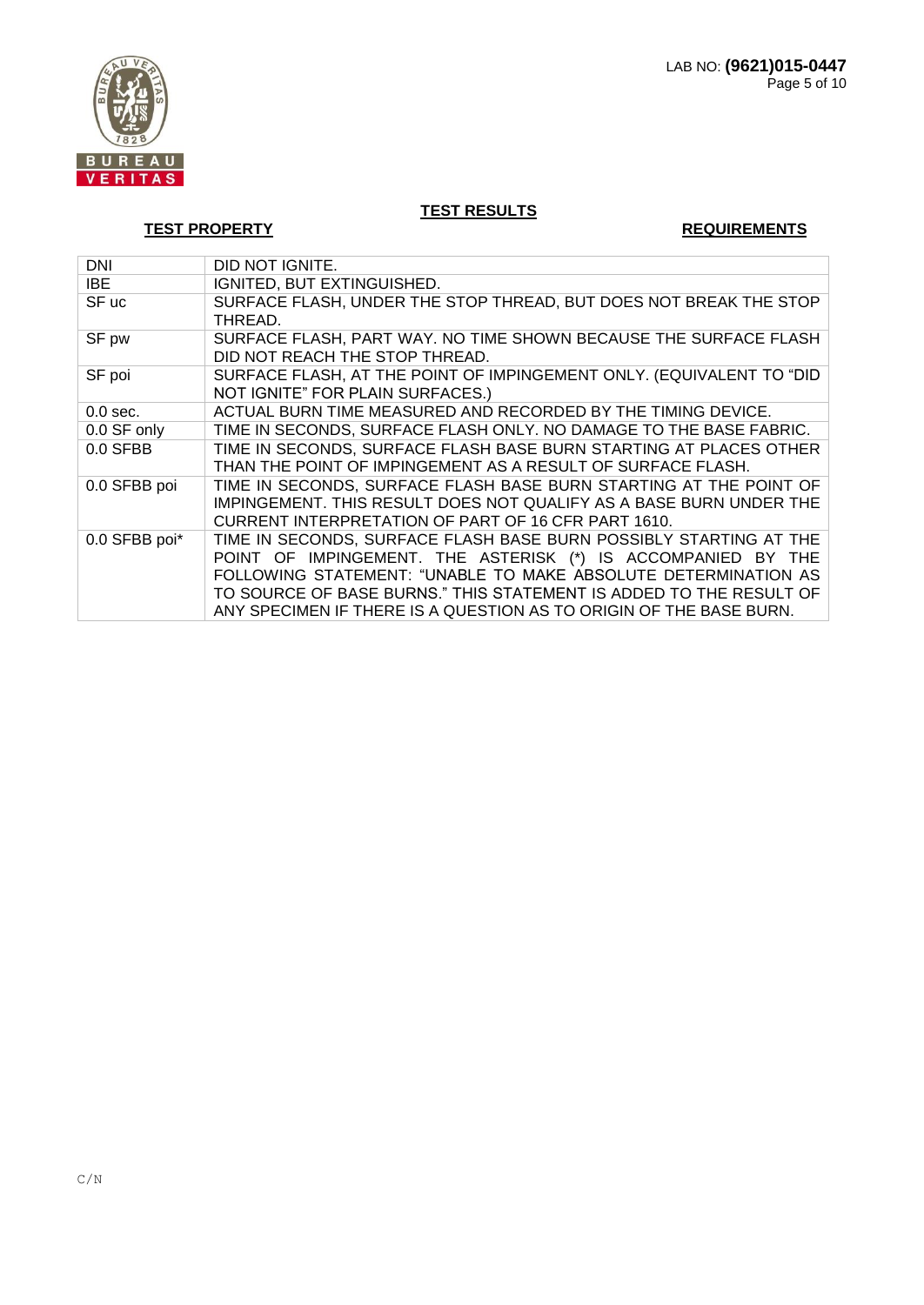

**TEST PROPERTY REQUIREMENTS** 

| <b>DNI</b>    | DID NOT IGNITE.                                                                                                                                                                                                                                                                                                                                 |
|---------------|-------------------------------------------------------------------------------------------------------------------------------------------------------------------------------------------------------------------------------------------------------------------------------------------------------------------------------------------------|
| IBE           | IGNITED, BUT EXTINGUISHED.                                                                                                                                                                                                                                                                                                                      |
| SF uc         | SURFACE FLASH, UNDER THE STOP THREAD, BUT DOES NOT BREAK THE STOP<br>THREAD.                                                                                                                                                                                                                                                                    |
| SF pw         | SURFACE FLASH, PART WAY. NO TIME SHOWN BECAUSE THE SURFACE FLASH<br>DID NOT REACH THE STOP THREAD.                                                                                                                                                                                                                                              |
| SF poi        | SURFACE FLASH, AT THE POINT OF IMPINGEMENT ONLY. (EQUIVALENT TO "DID<br>NOT IGNITE" FOR PLAIN SURFACES.)                                                                                                                                                                                                                                        |
| $0.0$ sec.    | ACTUAL BURN TIME MEASURED AND RECORDED BY THE TIMING DEVICE.                                                                                                                                                                                                                                                                                    |
| 0.0 SF only   | TIME IN SECONDS, SURFACE FLASH ONLY. NO DAMAGE TO THE BASE FABRIC.                                                                                                                                                                                                                                                                              |
| $0.0$ SFBB    | TIME IN SECONDS, SURFACE FLASH BASE BURN STARTING AT PLACES OTHER<br>THAN THE POINT OF IMPINGEMENT AS A RESULT OF SURFACE FLASH.                                                                                                                                                                                                                |
| 0.0 SFBB poi  | TIME IN SECONDS, SURFACE FLASH BASE BURN STARTING AT THE POINT OF<br>IMPINGEMENT. THIS RESULT DOES NOT QUALIFY AS A BASE BURN UNDER THE<br>CURRENT INTERPRETATION OF PART OF 16 CFR PART 1610.                                                                                                                                                  |
| 0.0 SFBB poi* | TIME IN SECONDS, SURFACE FLASH BASE BURN POSSIBLY STARTING AT THE<br>POINT OF IMPINGEMENT. THE ASTERISK (*) IS ACCOMPANIED BY THE<br>FOLLOWING STATEMENT: "UNABLE TO MAKE ABSOLUTE DETERMINATION AS<br>TO SOURCE OF BASE BURNS." THIS STATEMENT IS ADDED TO THE RESULT OF<br>ANY SPECIMEN IF THERE IS A QUESTION AS TO ORIGIN OF THE BASE BURN. |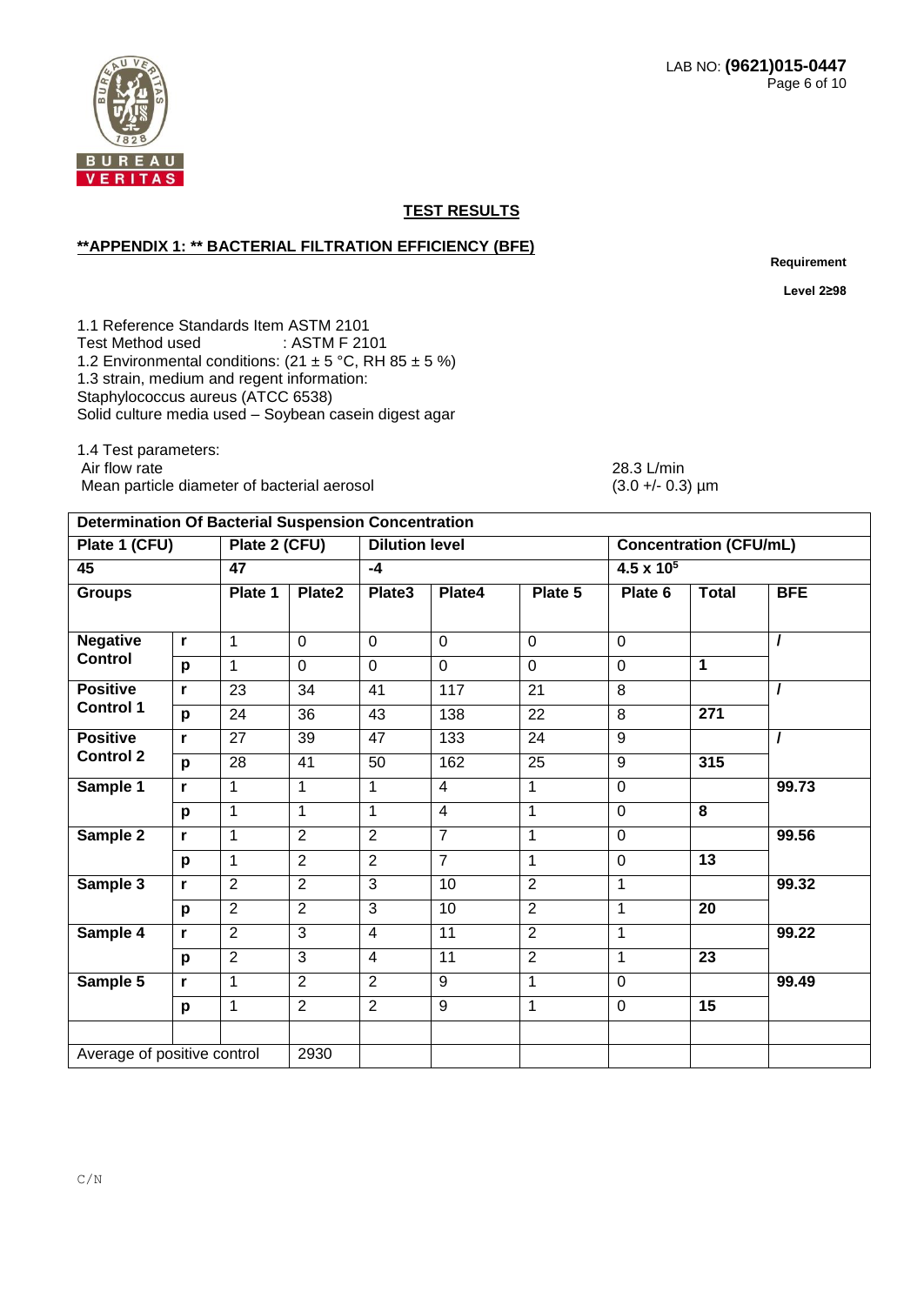

### **\*\*APPENDIX 1: \*\* BACTERIAL FILTRATION EFFICIENCY (BFE)**

**Requirement** 

**Level 2≥98**

1.1 Reference Standards Item ASTM 2101 Test Method used : ASTM F 2101 1.2 Environmental conditions:  $(21 \pm 5 \degree C, \text{RH } 85 \pm 5 \degree 6)$ 1.3 strain, medium and regent information: Staphylococcus aureus (ATCC 6538) Solid culture media used – Soybean casein digest agar

**Determination Of Bacterial Suspension Concentration**

1.4 Test parameters: Air flow rate<br>
Mean particle diameter of bacterial aerosol<br>
Mean particle diameter of bacterial aerosol<br>
(3.0 +/- 0.3) µm Mean particle diameter of bacterial aerosol

# Plate 1 (CFU) Plate 2 (CFU) Dilution level Concentration (CFU/mL) **45 47 -4 4.5 x 10<sup>5</sup> Groups Plate 1 Plate2 Plate3 Plate4 Plate 5 Plate 6 Total BFE Negative Control r** 1 0 0 0 0 0 **/ p** 1 0 0 0 0 0 **1 Positive Control 1 r** 23 34 41 117 21 8 **/ p** 24 36 43 138 22 8 **271 Positive Control 2 r** 27 39 47 133 24 9 **/ p** |28 |41 |50 |162 |25 |9 |**315 Sample 1 r** 1 1 1 4 1 0 **99.73 p** 1 1 1 4 1 0 **8 Sample 2 r** 1 2 2 7 1 0 **99.56 p** 1 2 2 7 1 0 **13 Sample 3 r** 2 2 3 10 2 1 **99.32 p** 2 2 3 10 2 1 **20 Sample 4 r** 2 3 4 11 2 1 **99.22 p** 2 3 4 11 2 1 **23 Sample 5 r** 1 2 2 9 1 0 **99.49 p** 1 2 2 9 1 0 **15** Average of positive control 2930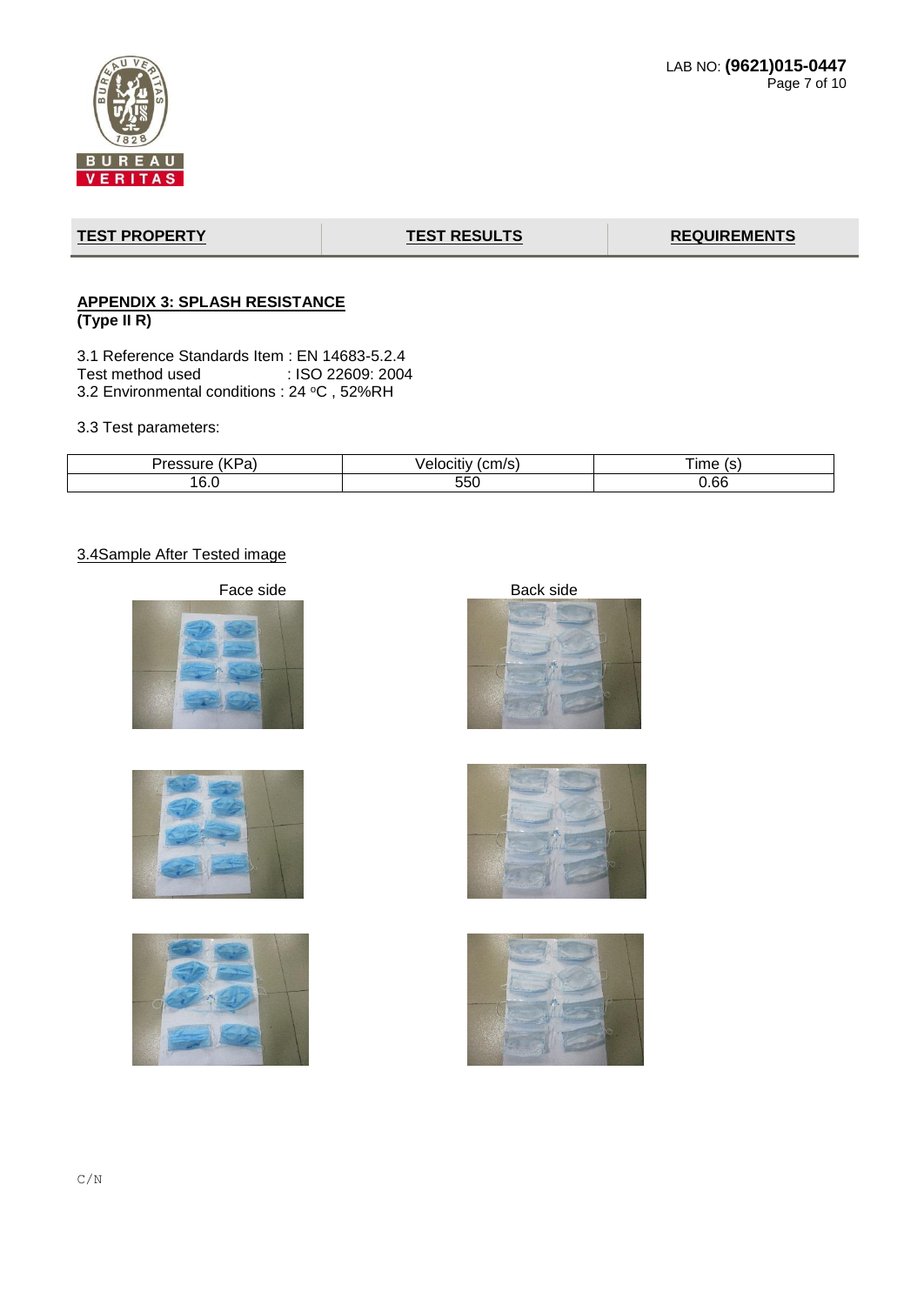

# **TEST PROPERTY TEST RESULTS REQUIREMENTS**

## **APPENDIX 3: SPLASH RESISTANCE (Type II R)**

3.1 Reference Standards Item : EN 14683-5.2.4 : ISO 22609: 2004 3.2 Environmental conditions : 24 °C, 52%RH

3.3 Test parameters:

| $\overline{\phantom{a}}$<br>a | $\sim$ $\sim$ $\sim$ $\sim$ $\sim$<br>∙ан.<br>. н | ıme<br>$\overline{\phantom{a}}$ |
|-------------------------------|---------------------------------------------------|---------------------------------|
| ָ<br>16.0                     | ---<br>nh.<br>∪∪ບ                                 | 0.66                            |

# 3.4Sample After Tested image











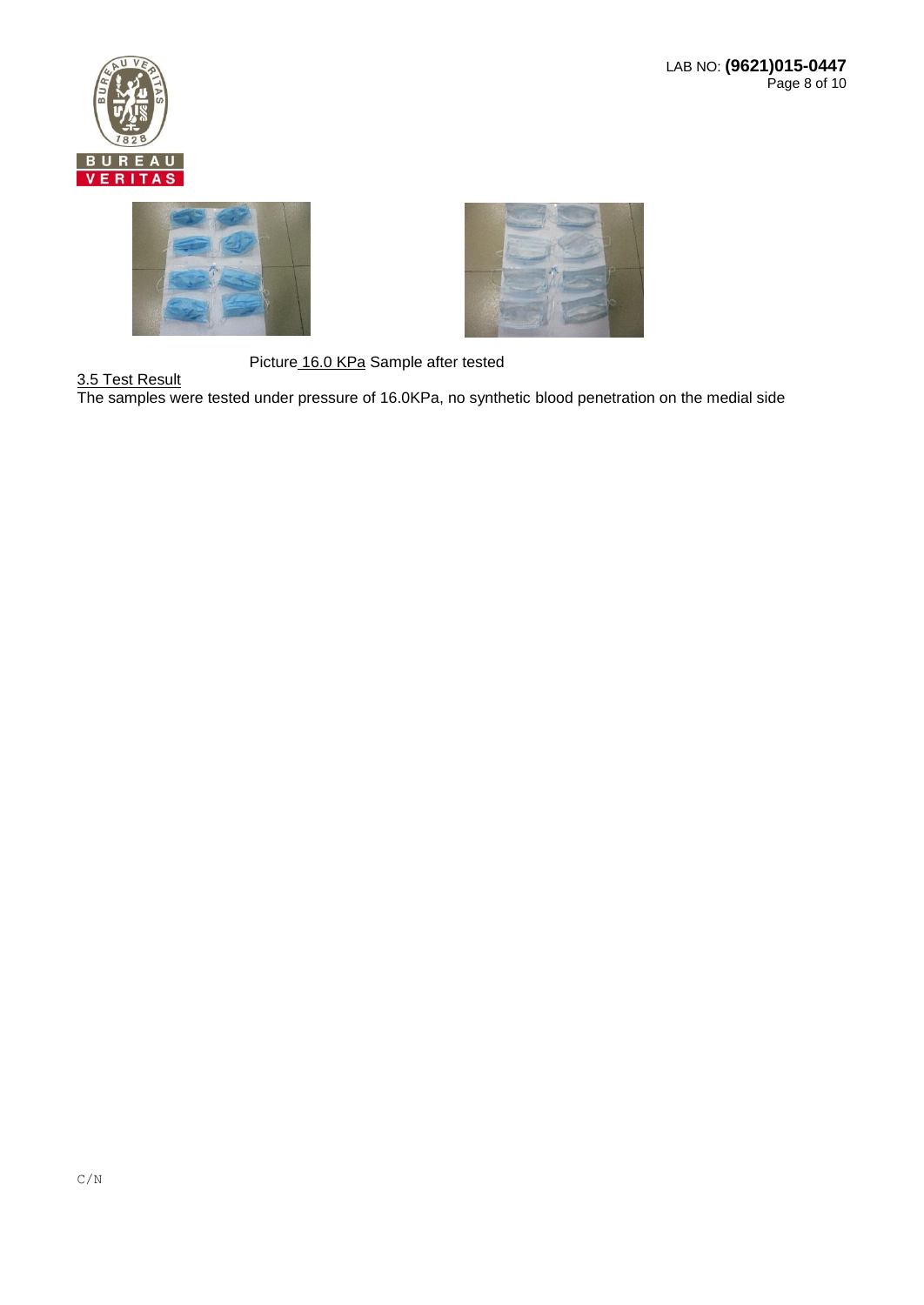





Picture 16.0 KPa Sample after tested

3.5 Test Result The samples were tested under pressure of 16.0KPa, no synthetic blood penetration on the medial side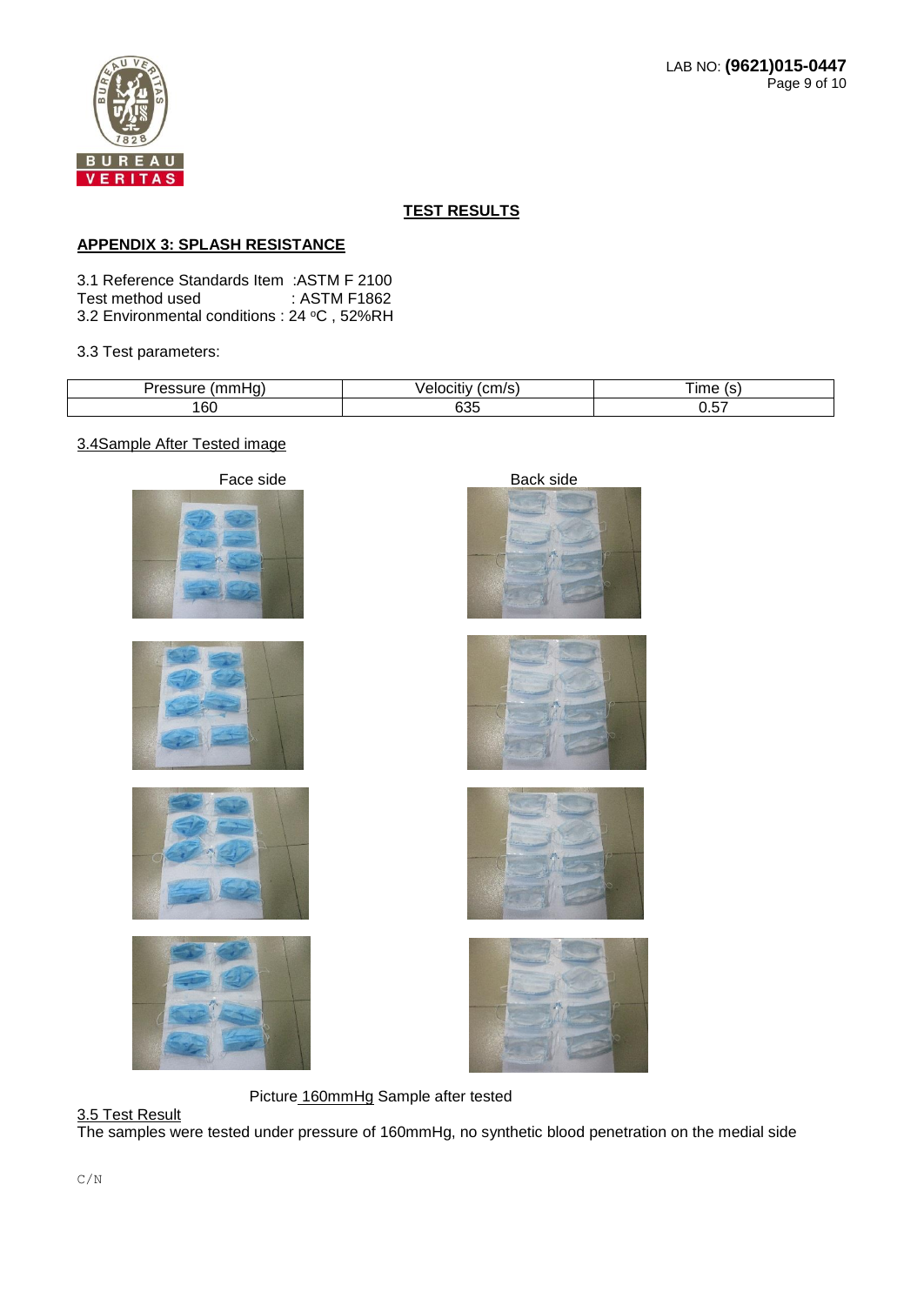

# **APPENDIX 3: SPLASH RESISTANCE**

3.1 Reference Standards Item :ASTM F 2100 Test method used 3.2 Environmental conditions : 24 °C, 52%RH

### 3.3 Test parameters:

| - -<br>. .     | $\sim$ 1000<br><br>-- | ıme |
|----------------|-----------------------|-----|
| <b>.</b><br>oc | uuu                   | $-$ |

### 3.4Sample After Tested image

















Picture 160mmHg Sample after tested

### 3.5 Test Result

The samples were tested under pressure of 160mmHg, no synthetic blood penetration on the medial side